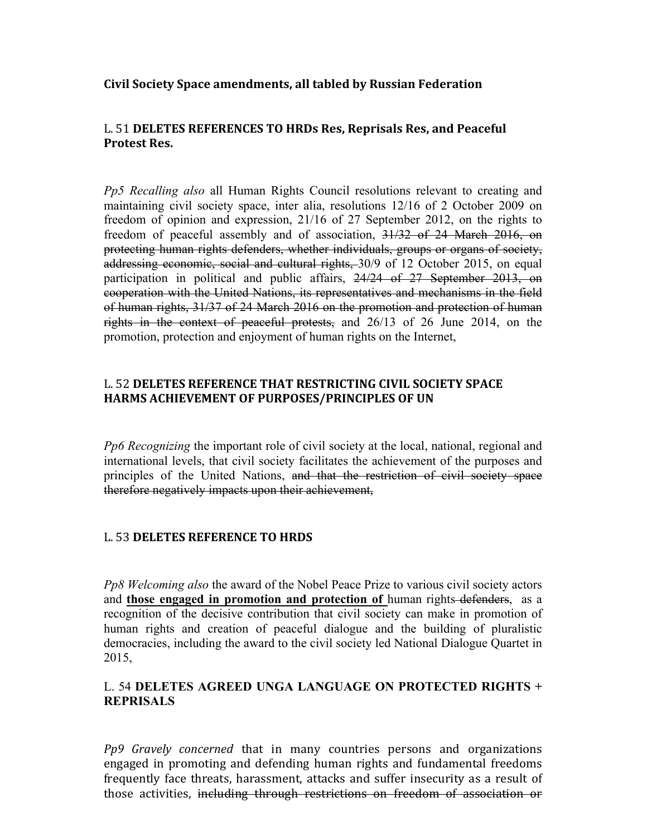**Civil Society Space amendments, all tabled by Russian Federation** 

# L. 51 DELETES REFERENCES TO HRDs Res, Reprisals Res, and Peaceful **Protest Res.**

*Pp5 Recalling also* all Human Rights Council resolutions relevant to creating and maintaining civil society space, inter alia, resolutions 12/16 of 2 October 2009 on freedom of opinion and expression, 21/16 of 27 September 2012, on the rights to freedom of peaceful assembly and of association, 31/32 of 24 March 2016, on protecting human rights defenders, whether individuals, groups or organs of society, addressing economic, social and cultural rights, 30/9 of 12 October 2015, on equal participation in political and public affairs, 24/24 of 27 September 2013, on cooperation with the United Nations, its representatives and mechanisms in the field of human rights, 31/37 of 24 March 2016 on the promotion and protection of human rights in the context of peaceful protests, and 26/13 of 26 June 2014, on the promotion, protection and enjoyment of human rights on the Internet,

# L. 52 DELETES REFERENCE THAT RESTRICTING CIVIL SOCIETY SPACE HARMS ACHIEVEMENT OF PURPOSES/PRINCIPLES OF UN

*Pp6 Recognizing* the important role of civil society at the local, national, regional and international levels, that civil society facilitates the achievement of the purposes and principles of the United Nations, and that the restriction of civil society space therefore negatively impacts upon their achievement,

# L. 53 **DELETES REFERENCE TO HRDS**

*Pp8 Welcoming also* the award of the Nobel Peace Prize to various civil society actors and **those engaged in promotion and protection of** human rights defenders, as a recognition of the decisive contribution that civil society can make in promotion of human rights and creation of peaceful dialogue and the building of pluralistic democracies, including the award to the civil society led National Dialogue Quartet in 2015,

# L. 54 **DELETES AGREED UNGA LANGUAGE ON PROTECTED RIGHTS + REPRISALS**

*Pp9 Gravely concerned* that in many countries persons and organizations engaged in promoting and defending human rights and fundamental freedoms frequently face threats, harassment, attacks and suffer insecurity as a result of those activities, including through restrictions on freedom of association or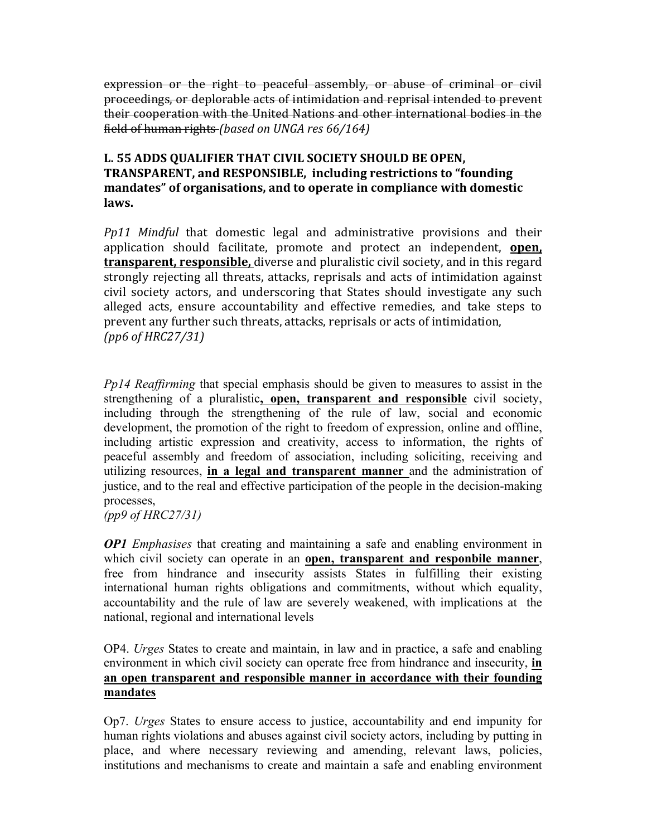expression or the right to peaceful assembly, or abuse of criminal or civil proceedings, or deplorable acts of intimidation and reprisal intended to prevent their cooperation with the United Nations and other international bodies in the field of human rights *(based on UNGA res* 66/164)

# L. 55 ADDS QUALIFIER THAT CIVIL SOCIETY SHOULD BE OPEN, TRANSPARENT, and RESPONSIBLE, including restrictions to "founding mandates" of organisations, and to operate in compliance with domestic laws.

*Pp11 Mindful* that domestic legal and administrative provisions and their application should facilitate, promote and protect an independent, **open**, **transparent, responsible,** diverse and pluralistic civil society, and in this regard strongly rejecting all threats, attacks, reprisals and acts of intimidation against civil society actors, and underscoring that States should investigate any such alleged acts, ensure accountability and effective remedies, and take steps to prevent any further such threats, attacks, reprisals or acts of intimidation, *(pp6 of HRC27/31)*

*Pp14 Reaffirming* that special emphasis should be given to measures to assist in the strengthening of a pluralistic**, open, transparent and responsible** civil society, including through the strengthening of the rule of law, social and economic development, the promotion of the right to freedom of expression, online and offline, including artistic expression and creativity, access to information, the rights of peaceful assembly and freedom of association, including soliciting, receiving and utilizing resources, **in a legal and transparent manner** and the administration of justice, and to the real and effective participation of the people in the decision-making processes,

*(pp9 of HRC27/31)*

*OP1 Emphasises* that creating and maintaining a safe and enabling environment in which civil society can operate in an **open, transparent and responbile manner**, free from hindrance and insecurity assists States in fulfilling their existing international human rights obligations and commitments, without which equality, accountability and the rule of law are severely weakened, with implications at the national, regional and international levels

OP4. *Urges* States to create and maintain, in law and in practice, a safe and enabling environment in which civil society can operate free from hindrance and insecurity, **in an open transparent and responsible manner in accordance with their founding mandates**

Op7. *Urges* States to ensure access to justice, accountability and end impunity for human rights violations and abuses against civil society actors, including by putting in place, and where necessary reviewing and amending, relevant laws, policies, institutions and mechanisms to create and maintain a safe and enabling environment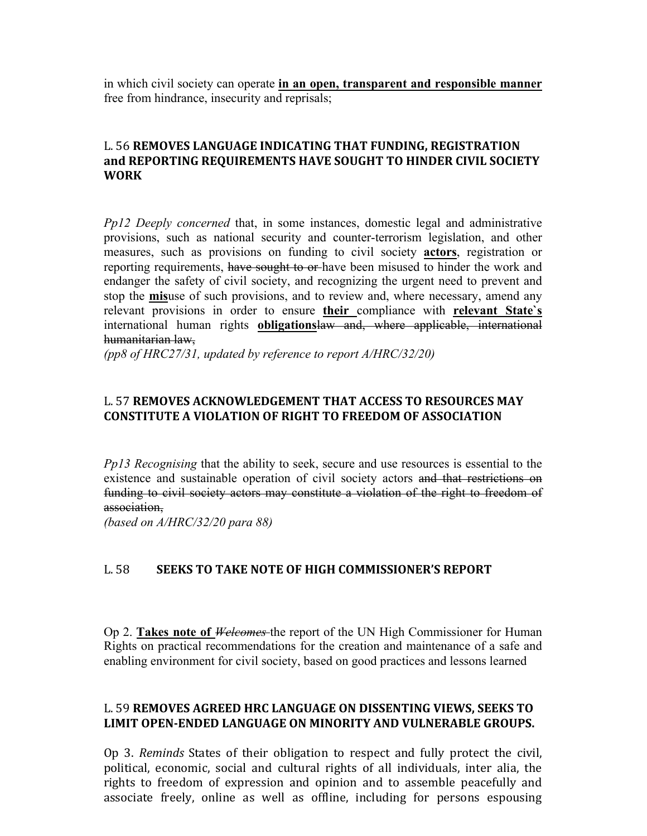in which civil society can operate **in an open, transparent and responsible manner** free from hindrance, insecurity and reprisals;

### L. 56 **REMOVES LANGUAGE INDICATING THAT FUNDING, REGISTRATION** and REPORTING REQUIREMENTS HAVE SOUGHT TO HINDER CIVIL SOCIETY **WORK**

*Pp12 Deeply concerned* that, in some instances, domestic legal and administrative provisions, such as national security and counter-terrorism legislation, and other measures, such as provisions on funding to civil society **actors**, registration or reporting requirements, have sought to or have been misused to hinder the work and endanger the safety of civil society, and recognizing the urgent need to prevent and stop the **mis**use of such provisions, and to review and, where necessary, amend any relevant provisions in order to ensure **their** compliance with **relevant State`s**  international human rights **obligations**law and, where applicable, international humanitarian law,

*(pp8 of HRC27/31, updated by reference to report A/HRC/32/20)*

# L. 57 **REMOVES ACKNOWLEDGEMENT THAT ACCESS TO RESOURCES MAY CONSTITUTE A VIOLATION OF RIGHT TO FREEDOM OF ASSOCIATION**

*Pp13 Recognising* that the ability to seek, secure and use resources is essential to the existence and sustainable operation of civil society actors and that restrictions on funding to civil society actors may constitute a violation of the right to freedom of association,

*(based on A/HRC/32/20 para 88)* 

# L. 58 SEEKS TO TAKE NOTE OF HIGH COMMISSIONER'S REPORT

Op 2. **Takes note of** *Welcomes* the report of the UN High Commissioner for Human Rights on practical recommendations for the creation and maintenance of a safe and enabling environment for civil society, based on good practices and lessons learned

### L. 59 **REMOVES AGREED HRC LANGUAGE ON DISSENTING VIEWS, SEEKS TO** LIMIT OPEN-ENDED LANGUAGE ON MINORITY AND VULNERABLE GROUPS.

Op 3. *Reminds* States of their obligation to respect and fully protect the civil, political, economic, social and cultural rights of all individuals, inter alia, the rights to freedom of expression and opinion and to assemble peacefully and associate freely, online as well as offline, including for persons espousing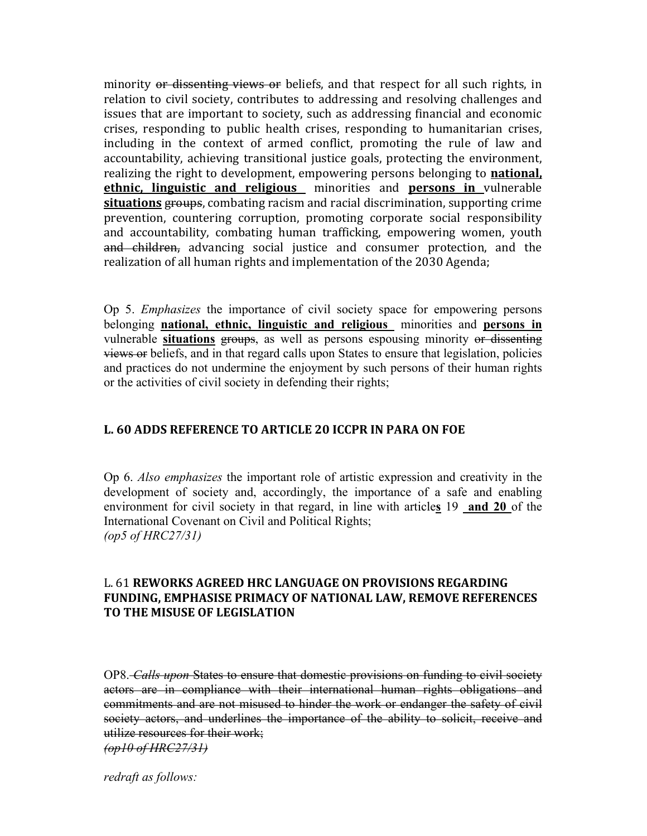minority or dissenting views or beliefs, and that respect for all such rights, in relation to civil society, contributes to addressing and resolving challenges and issues that are important to society, such as addressing financial and economic crises, responding to public health crises, responding to humanitarian crises, including in the context of armed conflict, promoting the rule of law and accountability, achieving transitional justice goals, protecting the environment, realizing the right to development, empowering persons belonging to **national**, **ethnic, linguistic and religious** minorities and **persons in** vulnerable **situations** groups, combating racism and racial discrimination, supporting crime prevention, countering corruption, promoting corporate social responsibility and accountability, combating human trafficking, empowering women, youth and children, advancing social justice and consumer protection, and the realization of all human rights and implementation of the 2030 Agenda;

Op 5. *Emphasizes* the importance of civil society space for empowering persons belonging **national, ethnic, linguistic and religious** minorities and **persons in**  vulnerable **situations** groups, as well as persons espousing minority or dissenting views or beliefs, and in that regard calls upon States to ensure that legislation, policies and practices do not undermine the enjoyment by such persons of their human rights or the activities of civil society in defending their rights;

# **L. 60 ADDS REFERENCE TO ARTICLE 20 ICCPR IN PARA ON FOE**

Op 6. *Also emphasizes* the important role of artistic expression and creativity in the development of society and, accordingly, the importance of a safe and enabling environment for civil society in that regard, in line with article**s** 19 **and 20** of the International Covenant on Civil and Political Rights; *(op5 of HRC27/31)*

#### **L. 61 REWORKS AGREED HRC LANGUAGE ON PROVISIONS REGARDING FUNDING, EMPHASISE PRIMACY OF NATIONAL LAW, REMOVE REFERENCES TO THE MISUSE OF LEGISLATION**

OP8. *Calls upon* States to ensure that domestic provisions on funding to civil society actors are in compliance with their international human rights obligations and commitments and are not misused to hinder the work or endanger the safety of civil society actors, and underlines the importance of the ability to solicit, receive and utilize resources for their work;

*(op10 of HRC27/31)*

*redraft as follows:*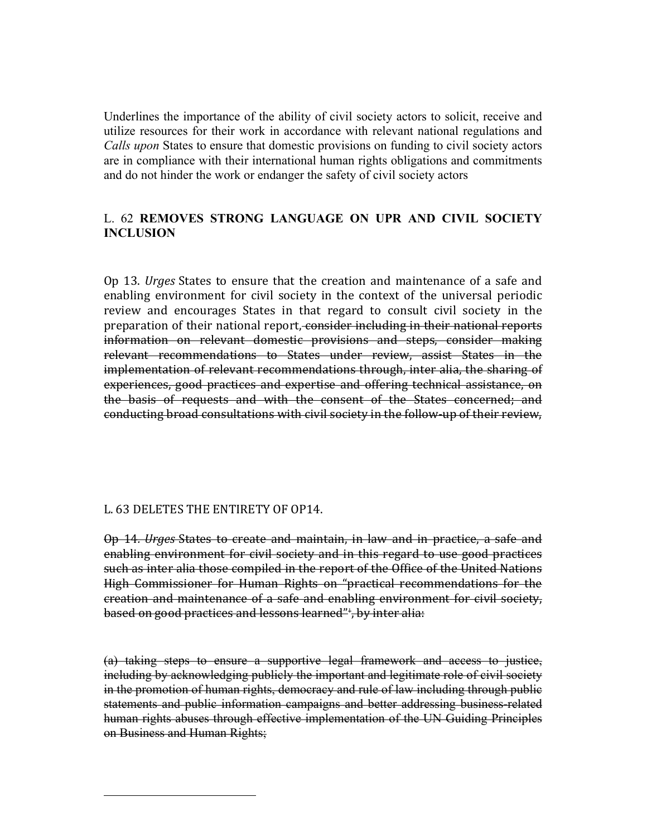Underlines the importance of the ability of civil society actors to solicit, receive and utilize resources for their work in accordance with relevant national regulations and *Calls upon* States to ensure that domestic provisions on funding to civil society actors are in compliance with their international human rights obligations and commitments and do not hinder the work or endanger the safety of civil society actors

# L. 62 **REMOVES STRONG LANGUAGE ON UPR AND CIVIL SOCIETY INCLUSION**

Op 13. *Urges* States to ensure that the creation and maintenance of a safe and enabling environment for civil society in the context of the universal periodic review and encourages States in that regard to consult civil society in the preparation of their national report, consider including in their national reports information on relevant domestic provisions and steps, consider making relevant recommendations to States under review, assist States in the implementation of relevant recommendations through, inter alia, the sharing of experiences, good practices and expertise and offering technical assistance, on the basis of requests and with the consent of the States concerned; and conducting broad consultations with civil society in the follow-up of their review,

# L. 63 DELETES THE ENTIRETY OF OP14.

 

Op 14. *Urges* States to create and maintain, in law and in practice, a safe and enabling environment for civil society and in this regard to use good practices such as inter alia those compiled in the report of the Office of the United Nations High Commissioner for Human Rights on "practical recommendations for the creation and maintenance of a safe and enabling environment for civil society, based on good practices and lessons learned"<sup>1</sup>, by inter alia:

(a) taking steps to ensure a supportive legal framework and access to justice, including by acknowledging publicly the important and legitimate role of civil society in the promotion of human rights, democracy and rule of law including through public statements and public information campaigns and better addressing business-related human rights abuses through effective implementation of the UN Guiding Principles on Business and Human Rights;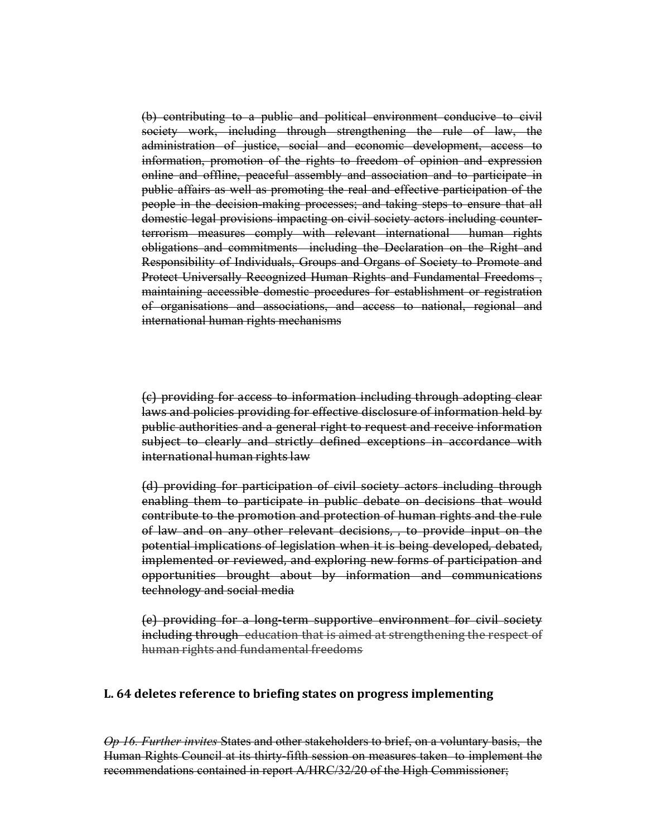(b) contributing to a public and political environment conducive to civil society work, including through strengthening the rule of law, the administration of justice, social and economic development, access to information, promotion of the rights to freedom of opinion and expression online and offline, peaceful assembly and association and to participate in public affairs as well as promoting the real and effective participation of the people in the decision-making processes; and taking steps to ensure that all domestic legal provisions impacting on civil society actors including counterterrorism measures comply with relevant international human rights obligations and commitments including the Declaration on the Right and Responsibility of Individuals, Groups and Organs of Society to Promote and Protect Universally Recognized Human Rights and Fundamental Freedoms , maintaining accessible domestic procedures for establishment or registration of organisations and associations, and access to national, regional and international human rights mechanisms

(c) providing for access to information including through adopting clear laws and policies providing for effective disclosure of information held by public authorities and a general right to request and receive information subject to clearly and strictly defined exceptions in accordance with international human rights law

(d) providing for participation of civil society actors including through enabling them to participate in public debate on decisions that would contribute to the promotion and protection of human rights and the rule of law and on any other relevant decisions, , to provide input on the potential implications of legislation when it is being developed, debated, implemented or reviewed, and exploring new forms of participation and opportunities brought about by information and communications technology and social media

(e) providing for a long-term supportive environment for civil society including through education that is aimed at strengthening the respect of human rights and fundamental freedoms

#### L. 64 deletes reference to briefing states on progress implementing

*Op 16. Further invites* States and other stakeholders to brief, on a voluntary basis, the Human Rights Council at its thirty-fifth session on measures taken to implement the recommendations contained in report A/HRC/32/20 of the High Commissioner;